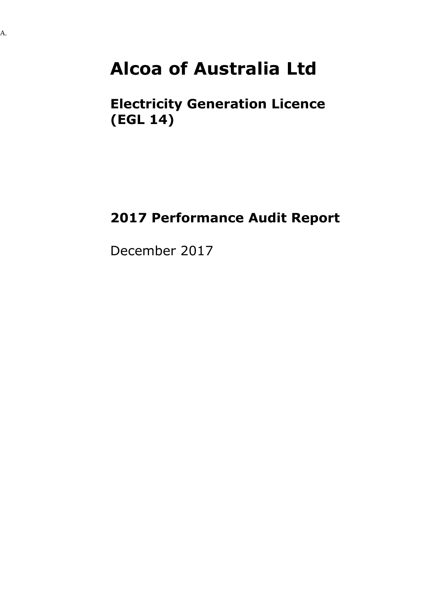### **Alcoa of Australia Ltd**

### **Electricity Generation Licence (EGL 14)**

### **2017 Performance Audit Report**

December 2017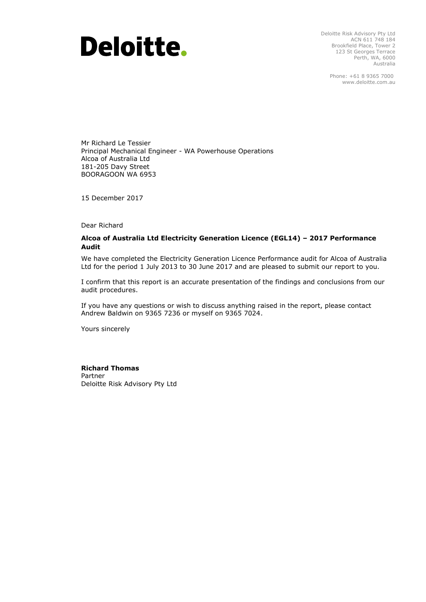# **Deloitte.**

Deloitte Risk Advisory Pty Ltd ACN 611 748 184 Brookfield Place, Tower 2 123 St Georges Terrace Perth, WA, 6000 Australia

> Phone: +61 8 9365 7000 www.deloitte.com.au

Mr Richard Le Tessier Principal Mechanical Engineer - WA Powerhouse Operations Alcoa of Australia Ltd 181-205 Davy Street BOORAGOON WA 6953

15 December 2017

Dear Richard

#### **Alcoa of Australia Ltd Electricity Generation Licence (EGL14) – 2017 Performance Audit**

We have completed the Electricity Generation Licence Performance audit for Alcoa of Australia Ltd for the period 1 July 2013 to 30 June 2017 and are pleased to submit our report to you.

I confirm that this report is an accurate presentation of the findings and conclusions from our audit procedures.

If you have any questions or wish to discuss anything raised in the report, please contact Andrew Baldwin on 9365 7236 or myself on 9365 7024.

Yours sincerely

#### **Richard Thomas**

Partner Deloitte Risk Advisory Pty Ltd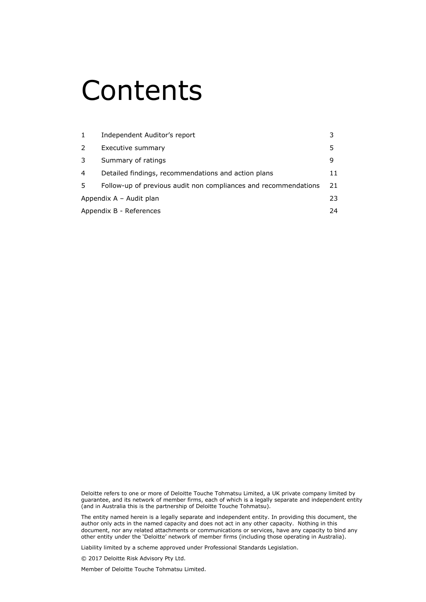## Contents

| Independent Auditor's report                                    |     |
|-----------------------------------------------------------------|-----|
| Executive summary                                               | 5   |
| Summary of ratings                                              | 9   |
| Detailed findings, recommendations and action plans             | 11  |
| Follow-up of previous audit non compliances and recommendations | 21  |
| Appendix A - Audit plan                                         | 23. |
| Appendix B - References                                         | 24  |
|                                                                 |     |

Deloitte refers to one or more of Deloitte Touche Tohmatsu Limited, a UK private company limited by guarantee, and its network of member firms, each of which is a legally separate and independent entity (and in Australia this is the partnership of Deloitte Touche Tohmatsu).

The entity named herein is a legally separate and independent entity. In providing this document, the author only acts in the named capacity and does not act in any other capacity. Nothing in this document, nor any related attachments or communications or services, have any capacity to bind any other entity under the 'Deloitte' network of member firms (including those operating in Australia).

Liability limited by a scheme approved under Professional Standards Legislation.

© 2017 Deloitte Risk Advisory Pty Ltd.

Member of Deloitte Touche Tohmatsu Limited.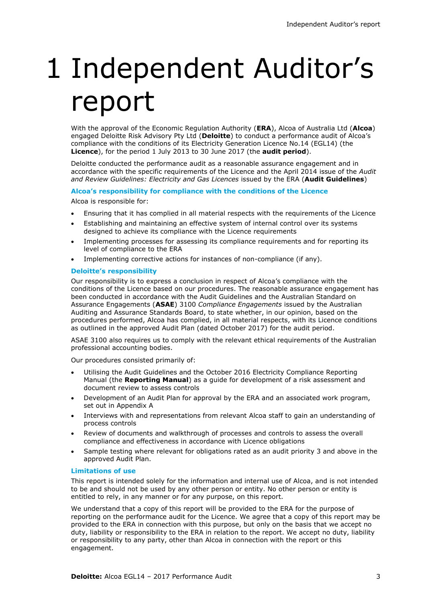# 1 Independent Auditor's report

With the approval of the Economic Regulation Authority (**ERA**), Alcoa of Australia Ltd (**Alcoa**) engaged Deloitte Risk Advisory Pty Ltd (**Deloitte**) to conduct a performance audit of Alcoa's compliance with the conditions of its Electricity Generation Licence No.14 (EGL14) (the **Licence**), for the period 1 July 2013 to 30 June 2017 (the **audit period**).

Deloitte conducted the performance audit as a reasonable assurance engagement and in accordance with the specific requirements of the Licence and the April 2014 issue of the *Audit and Review Guidelines: Electricity and Gas Licences* issued by the ERA (**Audit Guidelines**)

**Alcoa's responsibility for compliance with the conditions of the Licence**

Alcoa is responsible for:

- Ensuring that it has complied in all material respects with the requirements of the Licence
- Establishing and maintaining an effective system of internal control over its systems designed to achieve its compliance with the Licence requirements
- Implementing processes for assessing its compliance requirements and for reporting its level of compliance to the ERA
- Implementing corrective actions for instances of non-compliance (if any).

#### **Deloitte's responsibility**

Our responsibility is to express a conclusion in respect of Alcoa's compliance with the conditions of the Licence based on our procedures. The reasonable assurance engagement has been conducted in accordance with the Audit Guidelines and the Australian Standard on Assurance Engagements (**ASAE**) 3100 *Compliance Engagements* issued by the Australian Auditing and Assurance Standards Board, to state whether, in our opinion, based on the procedures performed, Alcoa has complied, in all material respects, with its Licence conditions as outlined in the approved Audit Plan (dated October 2017) for the audit period.

ASAE 3100 also requires us to comply with the relevant ethical requirements of the Australian professional accounting bodies.

Our procedures consisted primarily of:

- Utilising the Audit Guidelines and the October 2016 Electricity Compliance Reporting Manual (the **Reporting Manual**) as a guide for development of a risk assessment and document review to assess controls
- Development of an Audit Plan for approval by the ERA and an associated work program, set out in Appendix A
- Interviews with and representations from relevant Alcoa staff to gain an understanding of process controls
- Review of documents and walkthrough of processes and controls to assess the overall compliance and effectiveness in accordance with Licence obligations
- Sample testing where relevant for obligations rated as an audit priority 3 and above in the approved Audit Plan.

#### **Limitations of use**

This report is intended solely for the information and internal use of Alcoa, and is not intended to be and should not be used by any other person or entity. No other person or entity is entitled to rely, in any manner or for any purpose, on this report.

We understand that a copy of this report will be provided to the ERA for the purpose of reporting on the performance audit for the Licence. We agree that a copy of this report may be provided to the ERA in connection with this purpose, but only on the basis that we accept no duty, liability or responsibility to the ERA in relation to the report. We accept no duty, liability or responsibility to any party, other than Alcoa in connection with the report or this engagement.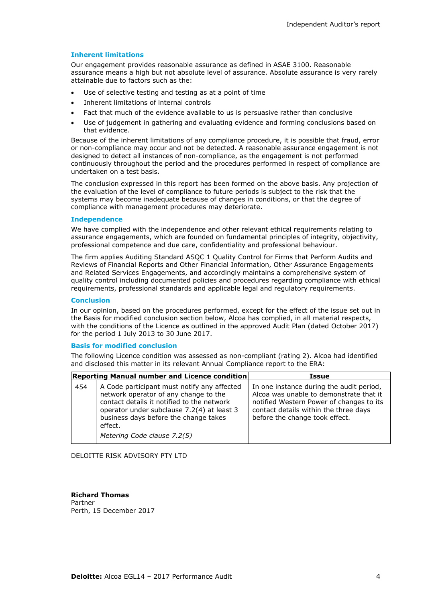#### **Inherent limitations**

Our engagement provides reasonable assurance as defined in ASAE 3100. Reasonable assurance means a high but not absolute level of assurance. Absolute assurance is very rarely attainable due to factors such as the:

- Use of selective testing and testing as at a point of time
- Inherent limitations of internal controls
- Fact that much of the evidence available to us is persuasive rather than conclusive
- Use of judgement in gathering and evaluating evidence and forming conclusions based on that evidence.

Because of the inherent limitations of any compliance procedure, it is possible that fraud, error or non-compliance may occur and not be detected. A reasonable assurance engagement is not designed to detect all instances of non-compliance, as the engagement is not performed continuously throughout the period and the procedures performed in respect of compliance are undertaken on a test basis.

The conclusion expressed in this report has been formed on the above basis. Any projection of the evaluation of the level of compliance to future periods is subject to the risk that the systems may become inadequate because of changes in conditions, or that the degree of compliance with management procedures may deteriorate.

#### **Independence**

We have complied with the independence and other relevant ethical requirements relating to assurance engagements, which are founded on fundamental principles of integrity, objectivity, professional competence and due care, confidentiality and professional behaviour.

The firm applies Auditing Standard ASQC 1 Quality Control for Firms that Perform Audits and Reviews of Financial Reports and Other Financial Information, Other Assurance Engagements and Related Services Engagements, and accordingly maintains a comprehensive system of quality control including documented policies and procedures regarding compliance with ethical requirements, professional standards and applicable legal and regulatory requirements.

#### **Conclusion**

In our opinion, based on the procedures performed, except for the effect of the issue set out in the Basis for modified conclusion section below, Alcoa has complied, in all material respects, with the conditions of the Licence as outlined in the approved Audit Plan (dated October 2017) for the period 1 July 2013 to 30 June 2017.

#### **Basis for modified conclusion**

The following Licence condition was assessed as non-compliant (rating 2). Alcoa had identified and disclosed this matter in its relevant Annual Compliance report to the ERA:

|     | <b>Reporting Manual number and Licence condition</b>                                                                                                                                                                                                                | Issue                                                                                                                                                                                                      |
|-----|---------------------------------------------------------------------------------------------------------------------------------------------------------------------------------------------------------------------------------------------------------------------|------------------------------------------------------------------------------------------------------------------------------------------------------------------------------------------------------------|
| 454 | A Code participant must notify any affected<br>network operator of any change to the<br>contact details it notified to the network<br>operator under subclause 7.2(4) at least 3<br>business days before the change takes<br>effect.<br>Metering Code clause 7.2(5) | In one instance during the audit period,<br>Alcoa was unable to demonstrate that it<br>notified Western Power of changes to its<br>contact details within the three days<br>before the change took effect. |

DELOITTE RISK ADVISORY PTY LTD

**Richard Thomas** Partner Perth, 15 December 2017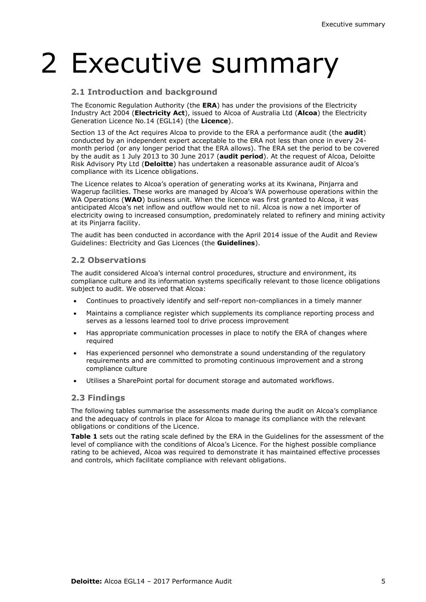# 2 Executive summary

#### **2.1 Introduction and background**

The Economic Regulation Authority (the **ERA**) has under the provisions of the Electricity Industry Act 2004 (**Electricity Act**), issued to Alcoa of Australia Ltd (**Alcoa**) the Electricity Generation Licence No.14 (EGL14) (the **Licence**).

Section 13 of the Act requires Alcoa to provide to the ERA a performance audit (the **audit**) conducted by an independent expert acceptable to the ERA not less than once in every 24 month period (or any longer period that the ERA allows). The ERA set the period to be covered by the audit as 1 July 2013 to 30 June 2017 (**audit period**). At the request of Alcoa, Deloitte Risk Advisory Pty Ltd (**Deloitte**) has undertaken a reasonable assurance audit of Alcoa's compliance with its Licence obligations.

The Licence relates to Alcoa's operation of generating works at its Kwinana, Pinjarra and Wagerup facilities. These works are managed by Alcoa's WA powerhouse operations within the WA Operations (**WAO**) business unit. When the licence was first granted to Alcoa, it was anticipated Alcoa's net inflow and outflow would net to nil. Alcoa is now a net importer of electricity owing to increased consumption, predominately related to refinery and mining activity at its Pinjarra facility.

The audit has been conducted in accordance with the April 2014 issue of the Audit and Review Guidelines: Electricity and Gas Licences (the **Guidelines**).

#### **2.2 Observations**

The audit considered Alcoa's internal control procedures, structure and environment, its compliance culture and its information systems specifically relevant to those licence obligations subject to audit. We observed that Alcoa:

- Continues to proactively identify and self-report non-compliances in a timely manner
- Maintains a compliance register which supplements its compliance reporting process and serves as a lessons learned tool to drive process improvement
- Has appropriate communication processes in place to notify the ERA of changes where required
- Has experienced personnel who demonstrate a sound understanding of the regulatory requirements and are committed to promoting continuous improvement and a strong compliance culture
- Utilises a SharePoint portal for document storage and automated workflows.

#### **2.3 Findings**

The following tables summarise the assessments made during the audit on Alcoa's compliance and the adequacy of controls in place for Alcoa to manage its compliance with the relevant obligations or conditions of the Licence.

**Table 1** sets out the rating scale defined by the ERA in the Guidelines for the assessment of the level of compliance with the conditions of Alcoa's Licence. For the highest possible compliance rating to be achieved, Alcoa was required to demonstrate it has maintained effective processes and controls, which facilitate compliance with relevant obligations.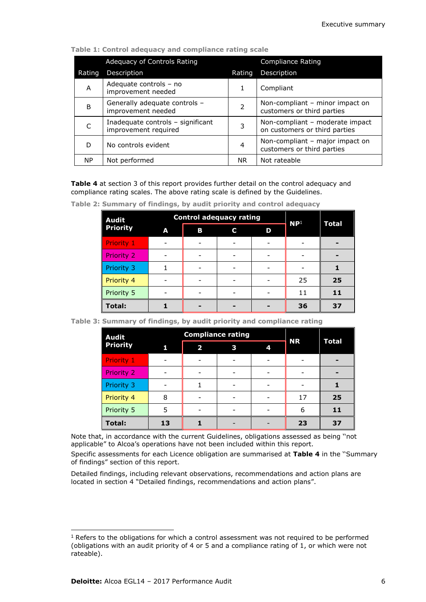|        | Adequacy of Controls Rating                               |                | Compliance Rating                                                |
|--------|-----------------------------------------------------------|----------------|------------------------------------------------------------------|
| Rating | Description                                               | Rating         | Description                                                      |
| A      | Adequate controls - no<br>improvement needed              |                | Compliant                                                        |
| B      | Generally adequate controls -<br>improvement needed       | $\overline{2}$ | Non-compliant – minor impact on<br>customers or third parties    |
|        | Inadequate controls - significant<br>improvement required | 3              | Non-compliant - moderate impact<br>on customers or third parties |
| D      | No controls evident                                       | 4              | Non-compliant - major impact on<br>customers or third parties    |
| NP.    | Not performed                                             | NR.            | Not rateable                                                     |

**Table 1: Control adequacy and compliance rating scale**

**Table 4** at section 3 of this report provides further detail on the control adequacy and compliance rating scales. The above rating scale is defined by the Guidelines.

| <b>Audit</b><br><b>Priority</b> |   | <b>Control adequacy rating</b> | $\mathsf{NP}^1$ | <b>Total</b> |    |    |
|---------------------------------|---|--------------------------------|-----------------|--------------|----|----|
|                                 | A | В                              | C               | D            |    |    |
| Priority 1                      |   |                                |                 |              |    |    |
| <b>Priority 2</b>               |   |                                |                 |              |    |    |
| Priority 3                      |   |                                |                 |              |    |    |
| Priority 4                      |   |                                |                 |              | 25 | 25 |
| Priority 5                      |   |                                |                 |              | 11 | 11 |
| Total:                          |   |                                |                 |              | 36 | 37 |

**Table 2: Summary of findings, by audit priority and control adequacy**

|  | Table 3: Summary of findings, by audit priority and compliance rating |  |  |  |  |
|--|-----------------------------------------------------------------------|--|--|--|--|
|--|-----------------------------------------------------------------------|--|--|--|--|

| <b>Audit</b>    |    | <b>Compliance rating</b> | <b>NR</b> |   |    |              |
|-----------------|----|--------------------------|-----------|---|----|--------------|
| <b>Priority</b> | 1  | $\overline{\mathbf{2}}$  | 3         | 4 |    | <b>Total</b> |
| Priority 1      |    |                          |           |   |    |              |
| Priority 2      |    |                          |           |   |    |              |
| Priority 3      |    |                          |           |   |    |              |
| Priority 4      | 8  |                          |           |   | 17 | 25           |
| Priority 5      | 5  |                          |           |   | 6  | 11           |
| <b>Total:</b>   | 13 |                          |           |   | 23 | 37           |

Note that, in accordance with the current Guidelines, obligations assessed as being ''not applicable" to Alcoa's operations have not been included within this report.

Specific assessments for each Licence obligation are summarised at **Table 4** in the ''Summary of findings" section of this report.

Detailed findings, including relevant observations, recommendations and action plans are located in section 4 "Detailed findings, recommendations and action plans".

l <sup>1</sup> Refers to the obligations for which a control assessment was not required to be performed (obligations with an audit priority of 4 or 5 and a compliance rating of 1, or which were not rateable).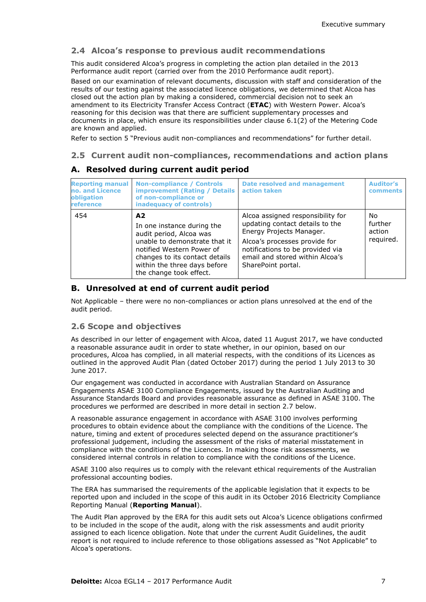#### **2.4 Alcoa's response to previous audit recommendations**

This audit considered Alcoa's progress in completing the action plan detailed in the 2013 Performance audit report (carried over from the 2010 Performance audit report).

Based on our examination of relevant documents, discussion with staff and consideration of the results of our testing against the associated licence obligations, we determined that Alcoa has closed out the action plan by making a considered, commercial decision not to seek an amendment to its Electricity Transfer Access Contract (**ETAC**) with Western Power. Alcoa's reasoning for this decision was that there are sufficient supplementary processes and documents in place, which ensure its responsibilities under clause 6.1(2) of the Metering Code are known and applied.

Refer to section 5 "Previous audit non-compliances and recommendations" for further detail.

#### **2.5 Current audit non-compliances, recommendations and action plans**

#### **Reporting manual no. and Licence obligation reference Non-compliance / Controls improvement (Rating / Details of non-compliance or inadequacy of controls) Date resolved and management action taken Auditor's comments** 454 **A2** In one instance during the audit period, Alcoa was unable to demonstrate that it notified Western Power of changes to its contact details within the three days before the change took effect. Alcoa assigned responsibility for updating contact details to the Energy Projects Manager. Alcoa's processes provide for notifications to be provided via email and stored within Alcoa's SharePoint portal. No further action required.

#### **A. Resolved during current audit period**

#### **B. Unresolved at end of current audit period**

Not Applicable – there were no non-compliances or action plans unresolved at the end of the audit period.

#### **2.6 Scope and objectives**

As described in our letter of engagement with Alcoa, dated 11 August 2017, we have conducted a reasonable assurance audit in order to state whether, in our opinion, based on our procedures, Alcoa has complied, in all material respects, with the conditions of its Licences as outlined in the approved Audit Plan (dated October 2017) during the period 1 July 2013 to 30 June 2017.

Our engagement was conducted in accordance with Australian Standard on Assurance Engagements ASAE 3100 Compliance Engagements, issued by the Australian Auditing and Assurance Standards Board and provides reasonable assurance as defined in ASAE 3100. The procedures we performed are described in more detail in section 2.7 below.

A reasonable assurance engagement in accordance with ASAE 3100 involves performing procedures to obtain evidence about the compliance with the conditions of the Licence. The nature, timing and extent of procedures selected depend on the assurance practitioner's professional judgement, including the assessment of the risks of material misstatement in compliance with the conditions of the Licences. In making those risk assessments, we considered internal controls in relation to compliance with the conditions of the Licence.

ASAE 3100 also requires us to comply with the relevant ethical requirements of the Australian professional accounting bodies.

The ERA has summarised the requirements of the applicable legislation that it expects to be reported upon and included in the scope of this audit in its October 2016 Electricity Compliance Reporting Manual (**Reporting Manual**).

The Audit Plan approved by the ERA for this audit sets out Alcoa's Licence obligations confirmed to be included in the scope of the audit, along with the risk assessments and audit priority assigned to each licence obligation. Note that under the current Audit Guidelines, the audit report is not required to include reference to those obligations assessed as "Not Applicable" to Alcoa's operations.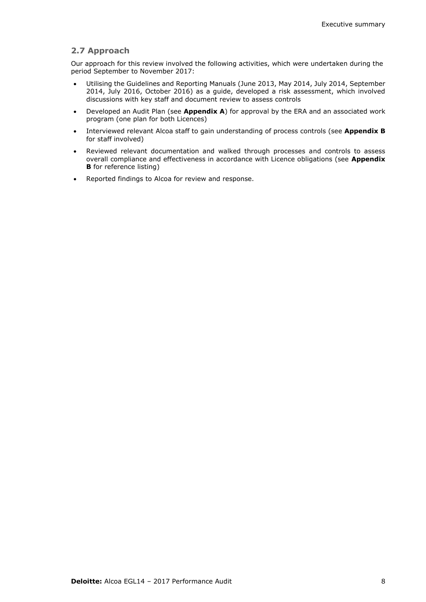#### **2.7 Approach**

Our approach for this review involved the following activities, which were undertaken during the period September to November 2017:

- Utilising the Guidelines and Reporting Manuals (June 2013, May 2014, July 2014, September 2014, July 2016, October 2016) as a guide, developed a risk assessment, which involved discussions with key staff and document review to assess controls
- Developed an Audit Plan (see **Appendix A**) for approval by the ERA and an associated work program (one plan for both Licences)
- Interviewed relevant Alcoa staff to gain understanding of process controls (see **Appendix B** for staff involved)
- Reviewed relevant documentation and walked through processes and controls to assess overall compliance and effectiveness in accordance with Licence obligations (see **Appendix B** for reference listing)
- Reported findings to Alcoa for review and response.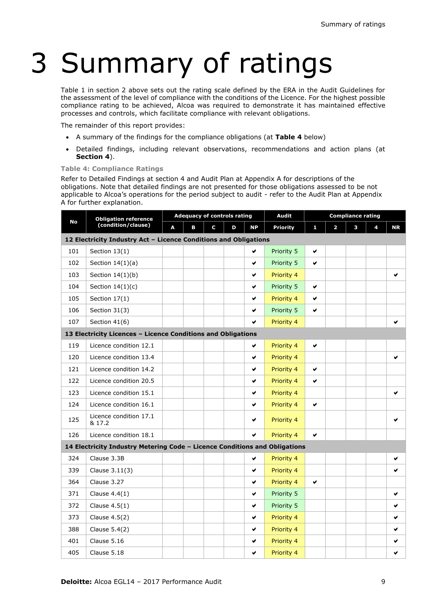# 3 Summary of ratings

Table 1 in section 2 above sets out the rating scale defined by the ERA in the Audit Guidelines for the assessment of the level of compliance with the conditions of the Licence. For the highest possible compliance rating to be achieved, Alcoa was required to demonstrate it has maintained effective processes and controls, which facilitate compliance with relevant obligations.

The remainder of this report provides:

- A summary of the findings for the compliance obligations (at **Table 4** below)
- Detailed findings, including relevant observations, recommendations and action plans (at **Section 4**).

#### **Table 4: Compliance Ratings**

Refer to Detailed Findings at section 4 and Audit Plan at Appendix A for descriptions of the obligations. Note that detailed findings are not presented for those obligations assessed to be not applicable to Alcoa's operations for the period subject to audit - refer to the Audit Plan at Appendix A for further explanation.

|           | <b>Obligation reference</b>                                                |   |   | <b>Adequacy of controls rating</b> |            |            | <b>Audit</b>    |   |                | <b>Compliance rating</b> |   |           |
|-----------|----------------------------------------------------------------------------|---|---|------------------------------------|------------|------------|-----------------|---|----------------|--------------------------|---|-----------|
| <b>No</b> | (condition/clause)                                                         | A | B | C                                  | D          | <b>NP</b>  | <b>Priority</b> | 1 | $\overline{2}$ | з                        | 4 | <b>NR</b> |
|           | 12 Electricity Industry Act - Licence Conditions and Obligations           |   |   |                                    |            |            |                 |   |                |                          |   |           |
| 101       | Section $13(1)$                                                            |   |   |                                    |            | ✔          | Priority 5      | ✔ |                |                          |   |           |
| 102       | Section $14(1)(a)$                                                         |   |   |                                    |            | V          | Priority 5      | ✔ |                |                          |   |           |
| 103       | Section $14(1)(b)$                                                         |   |   |                                    |            | v          | Priority 4      |   |                |                          |   | ✔         |
| 104       | Section $14(1)(c)$                                                         |   |   |                                    |            | v          | Priority 5      | V |                |                          |   |           |
| 105       | Section $17(1)$                                                            |   |   |                                    |            | ✔          | Priority 4      | ✔ |                |                          |   |           |
| 106       | Section 31(3)                                                              |   |   |                                    |            | v          | Priority 5      | V |                |                          |   |           |
| 107       | Section 41(6)                                                              |   |   |                                    |            | ✔          | Priority 4      |   |                |                          |   | ✔         |
|           | 13 Electricity Licences - Licence Conditions and Obligations               |   |   |                                    |            |            |                 |   |                |                          |   |           |
| 119       | Licence condition 12.1                                                     |   |   |                                    |            | v          | Priority 4      | v |                |                          |   |           |
| 120       | Licence condition 13.4                                                     |   |   |                                    |            | v          | Priority 4      |   |                |                          |   | ✔         |
| 121       | Licence condition 14.2                                                     |   |   |                                    |            | ✔          | Priority 4      | v |                |                          |   |           |
| 122       | Licence condition 20.5                                                     |   |   |                                    |            | V          | Priority 4      | ✔ |                |                          |   |           |
| 123       | Licence condition 15.1                                                     |   |   |                                    | ✔          | Priority 4 |                 |   |                |                          | ✔ |           |
| 124       | Licence condition 16.1                                                     |   |   |                                    | V          | Priority 4 | ✔               |   |                |                          |   |           |
| 125       | Licence condition 17.1<br>& 17.2                                           |   |   |                                    | ✔          | Priority 4 |                 |   |                |                          | ✔ |           |
| 126       | Licence condition 18.1                                                     |   |   |                                    |            | V          | Priority 4      | V |                |                          |   |           |
|           | 14 Electricity Industry Metering Code - Licence Conditions and Obligations |   |   |                                    |            |            |                 |   |                |                          |   |           |
| 324       | Clause 3.3B                                                                |   |   |                                    |            | ✔          | Priority 4      |   |                |                          |   | ✔         |
| 339       | Clause 3.11(3)                                                             |   |   |                                    |            | ✔          | Priority 4      |   |                |                          |   | ✔         |
| 364       | Clause 3.27                                                                |   |   |                                    |            | V          | Priority 4      | V |                |                          |   |           |
| 371       | Clause $4.4(1)$                                                            |   |   |                                    |            | ✔          | Priority 5      |   |                |                          |   | ✔         |
| 372       | Clause $4.5(1)$                                                            |   |   |                                    | v          | Priority 5 |                 |   |                |                          | ✔ |           |
| 373       | Clause 4.5(2)                                                              |   |   | v                                  | Priority 4 |            |                 |   |                | ✔                        |   |           |
| 388       | Clause 5.4(2)                                                              |   |   |                                    |            | V          | Priority 4      |   |                |                          |   | ✔         |
| 401       | Clause 5.16                                                                |   |   |                                    |            | v          | Priority 4      |   |                |                          |   | ✔         |
| 405       | Clause 5.18                                                                |   |   |                                    |            | v          | Priority 4      |   |                |                          |   | ✔         |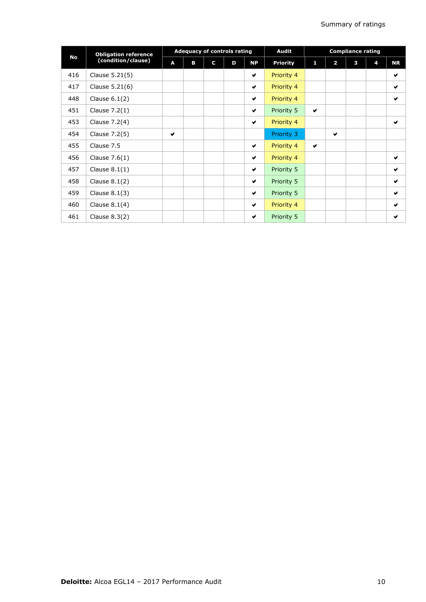|     | <b>Obligation reference</b> | <b>Adequacy of controls rating</b> |   |   |   | <b>Audit</b>         | <b>Compliance rating</b> |              |                |   |   |                       |
|-----|-----------------------------|------------------------------------|---|---|---|----------------------|--------------------------|--------------|----------------|---|---|-----------------------|
| No  | (condition/clause)          | A                                  | в | C | D | <b>NP</b>            | <b>Priority</b>          | 1            | $\overline{2}$ | з | 4 | <b>NR</b>             |
| 416 | Clause 5.21(5)              |                                    |   |   |   | ✔                    | Priority 4               |              |                |   |   | V                     |
| 417 | Clause 5.21(6)              |                                    |   |   |   | ✔                    | Priority 4               |              |                |   |   | ✔                     |
| 448 | Clause $6.1(2)$             |                                    |   |   |   | ✔                    | Priority 4               |              |                |   |   | V                     |
| 451 | Clause $7.2(1)$             |                                    |   |   |   | ✔                    | Priority 5               | $\checkmark$ |                |   |   |                       |
| 453 | Clause 7.2(4)               |                                    |   |   |   | ✔                    | Priority 4               |              |                |   |   | V                     |
| 454 | Clause 7.2(5)               | v                                  |   |   |   |                      | Priority 3               |              | $\checkmark$   |   |   |                       |
| 455 | Clause 7.5                  |                                    |   |   |   | ✔                    | Priority 4               | ✔            |                |   |   |                       |
| 456 | Clause $7.6(1)$             |                                    |   |   |   | ✔                    | Priority 4               |              |                |   |   | ✔                     |
| 457 | Clause $8.1(1)$             |                                    |   |   |   | ✔                    | Priority 5               |              |                |   |   | $\checkmark$          |
| 458 | Clause $8.1(2)$             |                                    |   |   |   | ✔                    | Priority 5               |              |                |   |   | ✔                     |
| 459 | Clause $8.1(3)$             |                                    |   |   |   | ✔                    | Priority 5               |              |                |   |   | ✔                     |
| 460 | Clause $8.1(4)$             |                                    |   |   |   | $\blacktriangledown$ | Priority 4               |              |                |   |   | $\blacktriangleright$ |
| 461 | Clause 8.3(2)               |                                    |   |   |   | v                    | Priority 5               |              |                |   |   | ✔                     |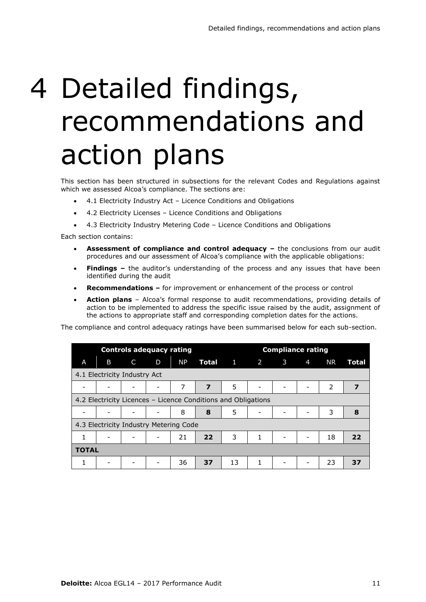# 4 Detailed findings, recommendations and action plans

This section has been structured in subsections for the relevant Codes and Regulations against which we assessed Alcoa's compliance. The sections are:

- 4.1 Electricity Industry Act Licence Conditions and Obligations
- 4.2 Electricity Licenses Licence Conditions and Obligations
- 4.3 Electricity Industry Metering Code Licence Conditions and Obligations

Each section contains:

- **Assessment of compliance and control adequacy –** the conclusions from our audit procedures and our assessment of Alcoa's compliance with the applicable obligations:
- **Findings –** the auditor's understanding of the process and any issues that have been identified during the audit
- **Recommendations –** for improvement or enhancement of the process or control
- **Action plans**  Alcoa's formal response to audit recommendations, providing details of action to be implemented to address the specific issue raised by the audit, assignment of the actions to appropriate staff and corresponding completion dates for the actions.

The compliance and control adequacy ratings have been summarised below for each sub-section.

|                                                               |                                        |   | <b>Controls adequacy rating</b> |           |                         | <b>Compliance rating</b> |   |                          |                |           |       |
|---------------------------------------------------------------|----------------------------------------|---|---------------------------------|-----------|-------------------------|--------------------------|---|--------------------------|----------------|-----------|-------|
| A                                                             | B                                      | C | D                               | <b>NP</b> |                         | <b>Total</b> 1 2 3       |   |                          | $\overline{4}$ | <b>NR</b> | Total |
|                                                               | 4.1 Electricity Industry Act           |   |                                 |           |                         |                          |   |                          |                |           |       |
|                                                               |                                        |   |                                 | 7         | $\overline{\mathbf{z}}$ | 5                        | - |                          |                | 2         | 7     |
| 4.2 Electricity Licences – Licence Conditions and Obligations |                                        |   |                                 |           |                         |                          |   |                          |                |           |       |
|                                                               |                                        |   |                                 | 8         | 8                       | 5                        | - |                          |                | 3         | 8     |
|                                                               | 4.3 Electricity Industry Metering Code |   |                                 |           |                         |                          |   |                          |                |           |       |
| 1                                                             |                                        |   |                                 | 21        | 22                      | 3                        | 1 | $\overline{\phantom{0}}$ |                | 18        | 22    |
| <b>TOTAL</b>                                                  |                                        |   |                                 |           |                         |                          |   |                          |                |           |       |
| 1                                                             |                                        |   |                                 | 36        | 37                      | 13                       | 1 |                          |                | 23        | 37    |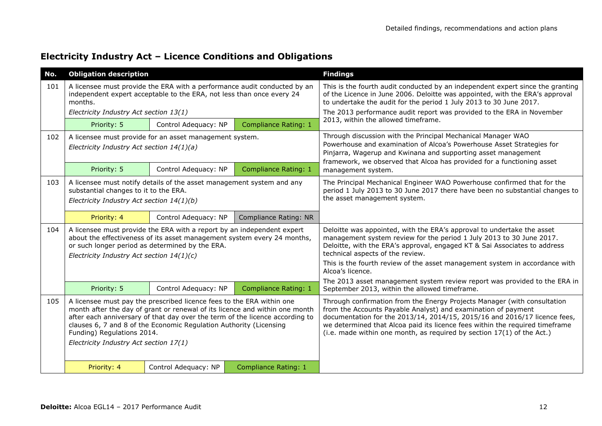#### **Electricity Industry Act – Licence Conditions and Obligations**

| No. | <b>Obligation description</b>                                                      |                                                                                                                                             |                                                                                                                                                             | <b>Findings</b>                                                                                                                                                                                                                                                                                                                                                                                                                                 |  |  |
|-----|------------------------------------------------------------------------------------|---------------------------------------------------------------------------------------------------------------------------------------------|-------------------------------------------------------------------------------------------------------------------------------------------------------------|-------------------------------------------------------------------------------------------------------------------------------------------------------------------------------------------------------------------------------------------------------------------------------------------------------------------------------------------------------------------------------------------------------------------------------------------------|--|--|
| 101 | months.<br>Electricity Industry Act section 13(1)                                  | independent expert acceptable to the ERA, not less than once every 24                                                                       | A licensee must provide the ERA with a performance audit conducted by an                                                                                    | This is the fourth audit conducted by an independent expert since the granting<br>of the Licence in June 2006. Deloitte was appointed, with the ERA's approval<br>to undertake the audit for the period 1 July 2013 to 30 June 2017.<br>The 2013 performance audit report was provided to the ERA in November                                                                                                                                   |  |  |
|     | Priority: 5                                                                        | Control Adequacy: NP                                                                                                                        | Compliance Rating: 1                                                                                                                                        | 2013, within the allowed timeframe.                                                                                                                                                                                                                                                                                                                                                                                                             |  |  |
| 102 | Electricity Industry Act section $14(1)(a)$                                        | A licensee must provide for an asset management system.                                                                                     |                                                                                                                                                             | Through discussion with the Principal Mechanical Manager WAO<br>Powerhouse and examination of Alcoa's Powerhouse Asset Strategies for<br>Pinjarra, Wagerup and Kwinana and supporting asset management<br>framework, we observed that Alcoa has provided for a functioning asset                                                                                                                                                                |  |  |
|     | Priority: 5                                                                        | Control Adequacy: NP                                                                                                                        | Compliance Rating: 1                                                                                                                                        | management system.                                                                                                                                                                                                                                                                                                                                                                                                                              |  |  |
| 103 | substantial changes to it to the ERA.<br>Electricity Industry Act section 14(1)(b) | A licensee must notify details of the asset management system and any                                                                       |                                                                                                                                                             | The Principal Mechanical Engineer WAO Powerhouse confirmed that for the<br>period 1 July 2013 to 30 June 2017 there have been no substantial changes to<br>the asset management system.                                                                                                                                                                                                                                                         |  |  |
|     | Priority: 4                                                                        | Control Adequacy: NP                                                                                                                        | Compliance Rating: NR                                                                                                                                       |                                                                                                                                                                                                                                                                                                                                                                                                                                                 |  |  |
| 104 | Electricity Industry Act section 14(1)(c)                                          | A licensee must provide the ERA with a report by an independent expert<br>or such longer period as determined by the ERA.                   | about the effectiveness of its asset management system every 24 months,                                                                                     | Deloitte was appointed, with the ERA's approval to undertake the asset<br>management system review for the period 1 July 2013 to 30 June 2017.<br>Deloitte, with the ERA's approval, engaged KT & Sai Associates to address<br>technical aspects of the review.<br>This is the fourth review of the asset management system in accordance with<br>Alcoa's licence.<br>The 2013 asset management system review report was provided to the ERA in |  |  |
|     | Priority: 5                                                                        | Control Adequacy: NP                                                                                                                        | Compliance Rating: 1                                                                                                                                        | September 2013, within the allowed timeframe.                                                                                                                                                                                                                                                                                                                                                                                                   |  |  |
| 105 | Funding) Regulations 2014.<br>Electricity Industry Act section 17(1)               | A licensee must pay the prescribed licence fees to the ERA within one<br>clauses 6, 7 and 8 of the Economic Regulation Authority (Licensing | month after the day of grant or renewal of its licence and within one month<br>after each anniversary of that day over the term of the licence according to | Through confirmation from the Energy Projects Manager (with consultation<br>from the Accounts Payable Analyst) and examination of payment<br>documentation for the 2013/14, 2014/15, 2015/16 and 2016/17 licence fees,<br>we determined that Alcoa paid its licence fees within the required timeframe<br>(i.e. made within one month, as required by section $17(1)$ of the Act.)                                                              |  |  |
|     | Priority: 4                                                                        | Control Adequacy: NP                                                                                                                        | <b>Compliance Rating: 1</b>                                                                                                                                 |                                                                                                                                                                                                                                                                                                                                                                                                                                                 |  |  |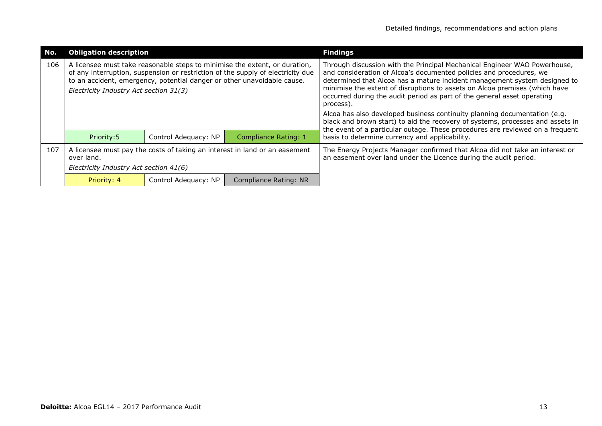| No. | <b>Obligation description</b>          |                                                                         |                                                                                                                                                               | <b>Findings</b>                                                                                                                                                                                                                                                                                                                                                                                     |
|-----|----------------------------------------|-------------------------------------------------------------------------|---------------------------------------------------------------------------------------------------------------------------------------------------------------|-----------------------------------------------------------------------------------------------------------------------------------------------------------------------------------------------------------------------------------------------------------------------------------------------------------------------------------------------------------------------------------------------------|
| 106 | Electricity Industry Act section 31(3) | to an accident, emergency, potential danger or other unavoidable cause. | A licensee must take reasonable steps to minimise the extent, or duration,<br>of any interruption, suspension or restriction of the supply of electricity due | Through discussion with the Principal Mechanical Engineer WAO Powerhouse,<br>and consideration of Alcoa's documented policies and procedures, we<br>determined that Alcoa has a mature incident management system designed to<br>minimise the extent of disruptions to assets on Alcoa premises (which have<br>occurred during the audit period as part of the general asset operating<br>process). |
|     |                                        |                                                                         |                                                                                                                                                               | Alcoa has also developed business continuity planning documentation (e.g.<br>black and brown start) to aid the recovery of systems, processes and assets in<br>the event of a particular outage. These procedures are reviewed on a frequent                                                                                                                                                        |
|     | Priority: 5                            | Control Adequacy: NP                                                    | <b>Compliance Rating: 1</b>                                                                                                                                   | basis to determine currency and applicability.                                                                                                                                                                                                                                                                                                                                                      |
| 107 | over land.                             |                                                                         | A licensee must pay the costs of taking an interest in land or an easement                                                                                    | The Energy Projects Manager confirmed that Alcoa did not take an interest or<br>an easement over land under the Licence during the audit period.                                                                                                                                                                                                                                                    |
|     | Electricity Industry Act section 41(6) |                                                                         |                                                                                                                                                               |                                                                                                                                                                                                                                                                                                                                                                                                     |
|     | Priority: 4                            | Control Adequacy: NP                                                    | Compliance Rating: NR                                                                                                                                         |                                                                                                                                                                                                                                                                                                                                                                                                     |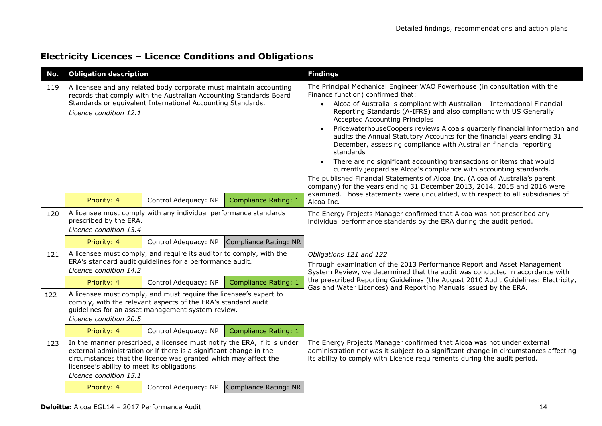| <b>Electricity Licences - Licence Conditions and Obligations</b> |  |
|------------------------------------------------------------------|--|
|------------------------------------------------------------------|--|

| No. | <b>Obligation description</b>                                                                                                                                                                                                                                                                           |                                                                                                                                                                                                                   |                             | <b>Findings</b>                                                                                                                                                                                                                                                                                                                                                                                                                                                                                                                                                                                                                                                                                                                                                                                                                                                                                                                                                                              |
|-----|---------------------------------------------------------------------------------------------------------------------------------------------------------------------------------------------------------------------------------------------------------------------------------------------------------|-------------------------------------------------------------------------------------------------------------------------------------------------------------------------------------------------------------------|-----------------------------|----------------------------------------------------------------------------------------------------------------------------------------------------------------------------------------------------------------------------------------------------------------------------------------------------------------------------------------------------------------------------------------------------------------------------------------------------------------------------------------------------------------------------------------------------------------------------------------------------------------------------------------------------------------------------------------------------------------------------------------------------------------------------------------------------------------------------------------------------------------------------------------------------------------------------------------------------------------------------------------------|
| 119 | A licensee and any related body corporate must maintain accounting<br>records that comply with the Australian Accounting Standards Board<br>Standards or equivalent International Accounting Standards.<br>Licence condition 12.1<br>Control Adequacy: NP<br>Priority: 4<br><b>Compliance Rating: 1</b> |                                                                                                                                                                                                                   |                             | The Principal Mechanical Engineer WAO Powerhouse (in consultation with the<br>Finance function) confirmed that:<br>Alcoa of Australia is compliant with Australian - International Financial<br>Reporting Standards (A-IFRS) and also compliant with US Generally<br><b>Accepted Accounting Principles</b><br>PricewaterhouseCoopers reviews Alcoa's quarterly financial information and<br>$\bullet$<br>audits the Annual Statutory Accounts for the financial years ending 31<br>December, assessing compliance with Australian financial reporting<br>standards<br>There are no significant accounting transactions or items that would<br>$\bullet$<br>currently jeopardise Alcoa's compliance with accounting standards.<br>The published Financial Statements of Alcoa Inc. (Alcoa of Australia's parent<br>company) for the years ending 31 December 2013, 2014, 2015 and 2016 were<br>examined. Those statements were unqualified, with respect to all subsidiaries of<br>Alcoa Inc. |
| 120 | A licensee must comply with any individual performance standards<br>prescribed by the ERA.<br>Licence condition 13.4                                                                                                                                                                                    |                                                                                                                                                                                                                   |                             | The Energy Projects Manager confirmed that Alcoa was not prescribed any<br>individual performance standards by the ERA during the audit period.                                                                                                                                                                                                                                                                                                                                                                                                                                                                                                                                                                                                                                                                                                                                                                                                                                              |
|     | Priority: 4                                                                                                                                                                                                                                                                                             | Control Adequacy: NP                                                                                                                                                                                              | Compliance Rating: NR       |                                                                                                                                                                                                                                                                                                                                                                                                                                                                                                                                                                                                                                                                                                                                                                                                                                                                                                                                                                                              |
| 121 | Licence condition 14.2                                                                                                                                                                                                                                                                                  | A licensee must comply, and require its auditor to comply, with the<br>ERA's standard audit guidelines for a performance audit.                                                                                   |                             | Obligations 121 and 122<br>Through examination of the 2013 Performance Report and Asset Management<br>System Review, we determined that the audit was conducted in accordance with                                                                                                                                                                                                                                                                                                                                                                                                                                                                                                                                                                                                                                                                                                                                                                                                           |
|     | Priority: 4                                                                                                                                                                                                                                                                                             | Control Adequacy: NP                                                                                                                                                                                              | Compliance Rating: 1        | the prescribed Reporting Guidelines (the August 2010 Audit Guidelines: Electricity,<br>Gas and Water Licences) and Reporting Manuals issued by the ERA.                                                                                                                                                                                                                                                                                                                                                                                                                                                                                                                                                                                                                                                                                                                                                                                                                                      |
| 122 | A licensee must comply, and must require the licensee's expert to<br>comply, with the relevant aspects of the ERA's standard audit<br>guidelines for an asset management system review.<br>Licence condition 20.5                                                                                       |                                                                                                                                                                                                                   |                             |                                                                                                                                                                                                                                                                                                                                                                                                                                                                                                                                                                                                                                                                                                                                                                                                                                                                                                                                                                                              |
|     | Priority: 4                                                                                                                                                                                                                                                                                             | Control Adequacy: NP                                                                                                                                                                                              | <b>Compliance Rating: 1</b> |                                                                                                                                                                                                                                                                                                                                                                                                                                                                                                                                                                                                                                                                                                                                                                                                                                                                                                                                                                                              |
| 123 | licensee's ability to meet its obligations.<br>Licence condition 15.1                                                                                                                                                                                                                                   | In the manner prescribed, a licensee must notify the ERA, if it is under<br>external administration or if there is a significant change in the<br>circumstances that the licence was granted which may affect the |                             | The Energy Projects Manager confirmed that Alcoa was not under external<br>administration nor was it subject to a significant change in circumstances affecting<br>its ability to comply with Licence requirements during the audit period.                                                                                                                                                                                                                                                                                                                                                                                                                                                                                                                                                                                                                                                                                                                                                  |
|     | Priority: 4                                                                                                                                                                                                                                                                                             | Control Adequacy: NP                                                                                                                                                                                              | Compliance Rating: NR       |                                                                                                                                                                                                                                                                                                                                                                                                                                                                                                                                                                                                                                                                                                                                                                                                                                                                                                                                                                                              |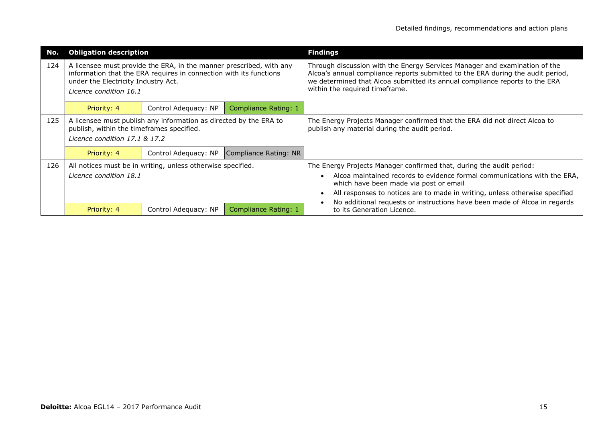| No. | <b>Obligation description</b>                                                                                                                                                                              |                      |                       | <b>Findings</b>                                                                                                                                                                                                                                                                                                                                        |
|-----|------------------------------------------------------------------------------------------------------------------------------------------------------------------------------------------------------------|----------------------|-----------------------|--------------------------------------------------------------------------------------------------------------------------------------------------------------------------------------------------------------------------------------------------------------------------------------------------------------------------------------------------------|
| 124 | A licensee must provide the ERA, in the manner prescribed, with any<br>information that the ERA requires in connection with its functions<br>under the Electricity Industry Act.<br>Licence condition 16.1 |                      |                       | Through discussion with the Energy Services Manager and examination of the<br>Alcoa's annual compliance reports submitted to the ERA during the audit period,<br>we determined that Alcoa submitted its annual compliance reports to the ERA<br>within the required timeframe.                                                                         |
|     | Priority: 4                                                                                                                                                                                                | Control Adequacy: NP | Compliance Rating: 1  |                                                                                                                                                                                                                                                                                                                                                        |
| 125 | A licensee must publish any information as directed by the ERA to<br>publish, within the timeframes specified.<br>Licence condition 17.1 & 17.2                                                            |                      |                       | The Energy Projects Manager confirmed that the ERA did not direct Alcoa to<br>publish any material during the audit period.                                                                                                                                                                                                                            |
|     | Priority: 4                                                                                                                                                                                                | Control Adequacy: NP | Compliance Rating: NR |                                                                                                                                                                                                                                                                                                                                                        |
| 126 | All notices must be in writing, unless otherwise specified.<br>Licence condition 18.1                                                                                                                      |                      |                       | The Energy Projects Manager confirmed that, during the audit period:<br>Alcoa maintained records to evidence formal communications with the ERA,<br>which have been made via post or email<br>All responses to notices are to made in writing, unless otherwise specified<br>No additional requests or instructions have been made of Alcoa in regards |
|     | Priority: 4                                                                                                                                                                                                | Control Adequacy: NP | Compliance Rating: 1  | to its Generation Licence.                                                                                                                                                                                                                                                                                                                             |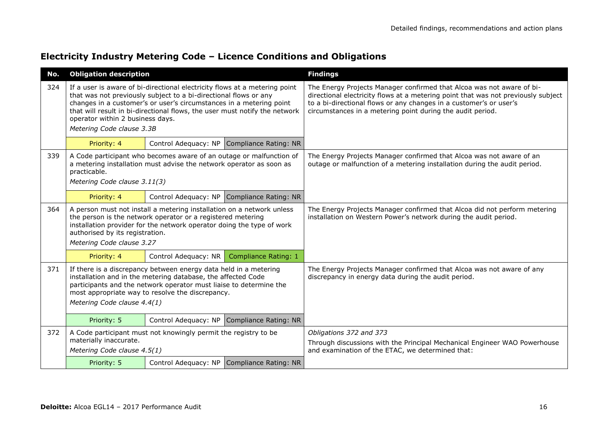| Electricity Industry Metering Code - Licence Conditions and Obligations |  |  |  |  |
|-------------------------------------------------------------------------|--|--|--|--|
|-------------------------------------------------------------------------|--|--|--|--|

| No. | <b>Obligation description</b>                                                                                                                                                                                                                                                             |                                                                                                                                                                                                                                                                                                     |                                            | <b>Findings</b>                                                                                                                                                                                                                                                                                |
|-----|-------------------------------------------------------------------------------------------------------------------------------------------------------------------------------------------------------------------------------------------------------------------------------------------|-----------------------------------------------------------------------------------------------------------------------------------------------------------------------------------------------------------------------------------------------------------------------------------------------------|--------------------------------------------|------------------------------------------------------------------------------------------------------------------------------------------------------------------------------------------------------------------------------------------------------------------------------------------------|
| 324 | operator within 2 business days.<br>Metering Code clause 3.3B                                                                                                                                                                                                                             | If a user is aware of bi-directional electricity flows at a metering point<br>that was not previously subject to a bi-directional flows or any<br>changes in a customer's or user's circumstances in a metering point<br>that will result in bi-directional flows, the user must notify the network |                                            | The Energy Projects Manager confirmed that Alcoa was not aware of bi-<br>directional electricity flows at a metering point that was not previously subject<br>to a bi-directional flows or any changes in a customer's or user's<br>circumstances in a metering point during the audit period. |
|     | Priority: 4                                                                                                                                                                                                                                                                               |                                                                                                                                                                                                                                                                                                     | Control Adequacy: NP Compliance Rating: NR |                                                                                                                                                                                                                                                                                                |
| 339 | A Code participant who becomes aware of an outage or malfunction of<br>a metering installation must advise the network operator as soon as<br>practicable.<br>Metering Code clause 3.11(3)                                                                                                |                                                                                                                                                                                                                                                                                                     |                                            | The Energy Projects Manager confirmed that Alcoa was not aware of an<br>outage or malfunction of a metering installation during the audit period.                                                                                                                                              |
|     | Priority: 4                                                                                                                                                                                                                                                                               |                                                                                                                                                                                                                                                                                                     | Control Adequacy: NP Compliance Rating: NR |                                                                                                                                                                                                                                                                                                |
| 364 | A person must not install a metering installation on a network unless<br>the person is the network operator or a registered metering<br>installation provider for the network operator doing the type of work<br>authorised by its registration.<br>Metering Code clause 3.27             |                                                                                                                                                                                                                                                                                                     |                                            | The Energy Projects Manager confirmed that Alcoa did not perform metering<br>installation on Western Power's network during the audit period.                                                                                                                                                  |
|     | Priority: 4                                                                                                                                                                                                                                                                               | Control Adequacy: NR                                                                                                                                                                                                                                                                                | <b>Compliance Rating: 1</b>                |                                                                                                                                                                                                                                                                                                |
| 371 | If there is a discrepancy between energy data held in a metering<br>installation and in the metering database, the affected Code<br>participants and the network operator must liaise to determine the<br>most appropriate way to resolve the discrepancy.<br>Metering Code clause 4.4(1) |                                                                                                                                                                                                                                                                                                     |                                            | The Energy Projects Manager confirmed that Alcoa was not aware of any<br>discrepancy in energy data during the audit period.                                                                                                                                                                   |
|     | Priority: 5<br>Control Adequacy: NP Compliance Rating: NR                                                                                                                                                                                                                                 |                                                                                                                                                                                                                                                                                                     |                                            |                                                                                                                                                                                                                                                                                                |
| 372 | A Code participant must not knowingly permit the registry to be<br>materially inaccurate.<br>Metering Code clause 4.5(1)                                                                                                                                                                  |                                                                                                                                                                                                                                                                                                     |                                            | Obligations 372 and 373<br>Through discussions with the Principal Mechanical Engineer WAO Powerhouse<br>and examination of the ETAC, we determined that:                                                                                                                                       |
|     | Priority: 5                                                                                                                                                                                                                                                                               |                                                                                                                                                                                                                                                                                                     | Control Adequacy: NP Compliance Rating: NR |                                                                                                                                                                                                                                                                                                |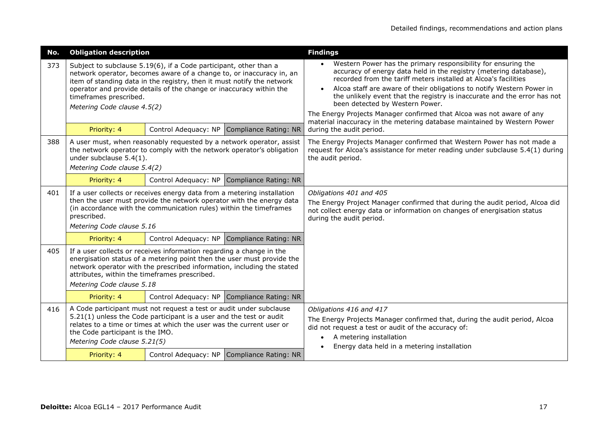| No. | <b>Obligation description</b>                                                                                                                                                                                                                                                                                                                       |  |                                            | <b>Findings</b>                                                                                                                                                                                                                                                                                                                                                                                                                                                                                                                                    |  |
|-----|-----------------------------------------------------------------------------------------------------------------------------------------------------------------------------------------------------------------------------------------------------------------------------------------------------------------------------------------------------|--|--------------------------------------------|----------------------------------------------------------------------------------------------------------------------------------------------------------------------------------------------------------------------------------------------------------------------------------------------------------------------------------------------------------------------------------------------------------------------------------------------------------------------------------------------------------------------------------------------------|--|
| 373 | Subject to subclause 5.19(6), if a Code participant, other than a<br>network operator, becomes aware of a change to, or inaccuracy in, an<br>item of standing data in the registry, then it must notify the network<br>operator and provide details of the change or inaccuracy within the<br>timeframes prescribed.<br>Metering Code clause 4.5(2) |  |                                            | Western Power has the primary responsibility for ensuring the<br>accuracy of energy data held in the registry (metering database),<br>recorded from the tariff meters installed at Alcoa's facilities<br>Alcoa staff are aware of their obligations to notify Western Power in<br>the unlikely event that the registry is inaccurate and the error has not<br>been detected by Western Power.<br>The Energy Projects Manager confirmed that Alcoa was not aware of any<br>material inaccuracy in the metering database maintained by Western Power |  |
|     | Priority: 4                                                                                                                                                                                                                                                                                                                                         |  | Control Adequacy: NP Compliance Rating: NR | during the audit period.                                                                                                                                                                                                                                                                                                                                                                                                                                                                                                                           |  |
| 388 | A user must, when reasonably requested by a network operator, assist<br>the network operator to comply with the network operator's obligation<br>under subclause 5.4(1).<br>Metering Code clause 5.4(2)                                                                                                                                             |  |                                            | The Energy Projects Manager confirmed that Western Power has not made a<br>request for Alcoa's assistance for meter reading under subclause 5.4(1) during<br>the audit period.                                                                                                                                                                                                                                                                                                                                                                     |  |
|     | Priority: 4                                                                                                                                                                                                                                                                                                                                         |  | Control Adequacy: NP Compliance Rating: NR |                                                                                                                                                                                                                                                                                                                                                                                                                                                                                                                                                    |  |
| 401 | If a user collects or receives energy data from a metering installation<br>then the user must provide the network operator with the energy data<br>(in accordance with the communication rules) within the timeframes<br>prescribed.<br>Metering Code clause 5.16                                                                                   |  |                                            | Obligations 401 and 405<br>The Energy Project Manager confirmed that during the audit period, Alcoa did<br>not collect energy data or information on changes of energisation status<br>during the audit period.                                                                                                                                                                                                                                                                                                                                    |  |
|     | Priority: 4                                                                                                                                                                                                                                                                                                                                         |  | Control Adequacy: NP Compliance Rating: NR |                                                                                                                                                                                                                                                                                                                                                                                                                                                                                                                                                    |  |
| 405 | If a user collects or receives information regarding a change in the<br>energisation status of a metering point then the user must provide the<br>network operator with the prescribed information, including the stated<br>attributes, within the timeframes prescribed.<br>Metering Code clause 5.18                                              |  |                                            |                                                                                                                                                                                                                                                                                                                                                                                                                                                                                                                                                    |  |
|     | Priority: 4                                                                                                                                                                                                                                                                                                                                         |  | Control Adequacy: NP Compliance Rating: NR |                                                                                                                                                                                                                                                                                                                                                                                                                                                                                                                                                    |  |
| 416 | A Code participant must not request a test or audit under subclause<br>5.21(1) unless the Code participant is a user and the test or audit<br>relates to a time or times at which the user was the current user or<br>the Code participant is the IMO.<br>Metering Code clause 5.21(5)                                                              |  |                                            | Obligations 416 and 417<br>The Energy Projects Manager confirmed that, during the audit period, Alcoa<br>did not request a test or audit of the accuracy of:<br>A metering installation<br>Energy data held in a metering installation                                                                                                                                                                                                                                                                                                             |  |
|     | Priority: 4                                                                                                                                                                                                                                                                                                                                         |  | Control Adequacy: NP Compliance Rating: NR |                                                                                                                                                                                                                                                                                                                                                                                                                                                                                                                                                    |  |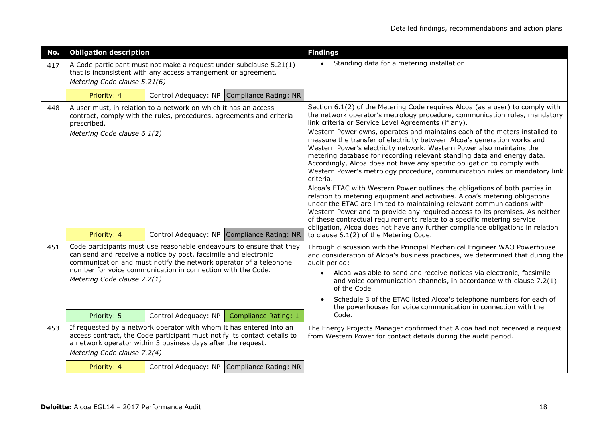| No. | <b>Obligation description</b>              |                                                                                                                                                                                                                                                                             |                                            | <b>Findings</b>                                                                                                                                                                                                                                                                                                                                                                                                                                                                                                                                                                                                                                                                                                                                                                                                                                                                                                                                                                                                                                                                                                                                                                             |
|-----|--------------------------------------------|-----------------------------------------------------------------------------------------------------------------------------------------------------------------------------------------------------------------------------------------------------------------------------|--------------------------------------------|---------------------------------------------------------------------------------------------------------------------------------------------------------------------------------------------------------------------------------------------------------------------------------------------------------------------------------------------------------------------------------------------------------------------------------------------------------------------------------------------------------------------------------------------------------------------------------------------------------------------------------------------------------------------------------------------------------------------------------------------------------------------------------------------------------------------------------------------------------------------------------------------------------------------------------------------------------------------------------------------------------------------------------------------------------------------------------------------------------------------------------------------------------------------------------------------|
| 417 | Metering Code clause 5.21(6)               | A Code participant must not make a request under subclause 5.21(1)<br>that is inconsistent with any access arrangement or agreement.                                                                                                                                        |                                            | Standing data for a metering installation.                                                                                                                                                                                                                                                                                                                                                                                                                                                                                                                                                                                                                                                                                                                                                                                                                                                                                                                                                                                                                                                                                                                                                  |
|     | Priority: 4                                |                                                                                                                                                                                                                                                                             | Control Adequacy: NP Compliance Rating: NR |                                                                                                                                                                                                                                                                                                                                                                                                                                                                                                                                                                                                                                                                                                                                                                                                                                                                                                                                                                                                                                                                                                                                                                                             |
| 448 | prescribed.<br>Metering Code clause 6.1(2) | A user must, in relation to a network on which it has an access<br>contract, comply with the rules, procedures, agreements and criteria                                                                                                                                     |                                            | Section 6.1(2) of the Metering Code requires Alcoa (as a user) to comply with<br>the network operator's metrology procedure, communication rules, mandatory<br>link criteria or Service Level Agreements (if any).<br>Western Power owns, operates and maintains each of the meters installed to<br>measure the transfer of electricity between Alcoa's generation works and<br>Western Power's electricity network. Western Power also maintains the<br>metering database for recording relevant standing data and energy data.<br>Accordingly, Alcoa does not have any specific obligation to comply with<br>Western Power's metrology procedure, communication rules or mandatory link<br>criteria.<br>Alcoa's ETAC with Western Power outlines the obligations of both parties in<br>relation to metering equipment and activities. Alcoa's metering obligations<br>under the ETAC are limited to maintaining relevant communications with<br>Western Power and to provide any required access to its premises. As neither<br>of these contractual requirements relate to a specific metering service<br>obligation, Alcoa does not have any further compliance obligations in relation |
|     | Priority: 4                                |                                                                                                                                                                                                                                                                             | Control Adequacy: NP Compliance Rating: NR | to clause 6.1(2) of the Metering Code.                                                                                                                                                                                                                                                                                                                                                                                                                                                                                                                                                                                                                                                                                                                                                                                                                                                                                                                                                                                                                                                                                                                                                      |
| 451 | Metering Code clause 7.2(1)                | Code participants must use reasonable endeavours to ensure that they<br>can send and receive a notice by post, facsimile and electronic<br>communication and must notify the network operator of a telephone<br>number for voice communication in connection with the Code. |                                            | Through discussion with the Principal Mechanical Engineer WAO Powerhouse<br>and consideration of Alcoa's business practices, we determined that during the<br>audit period:<br>Alcoa was able to send and receive notices via electronic, facsimile<br>$\bullet$<br>and voice communication channels, in accordance with clause 7.2(1)<br>of the Code<br>Schedule 3 of the ETAC listed Alcoa's telephone numbers for each of<br>the powerhouses for voice communication in connection with the                                                                                                                                                                                                                                                                                                                                                                                                                                                                                                                                                                                                                                                                                              |
|     | Priority: 5                                | Control Adequacy: NP                                                                                                                                                                                                                                                        | <b>Compliance Rating: 1</b>                | Code.                                                                                                                                                                                                                                                                                                                                                                                                                                                                                                                                                                                                                                                                                                                                                                                                                                                                                                                                                                                                                                                                                                                                                                                       |
| 453 | Metering Code clause 7.2(4)                | If requested by a network operator with whom it has entered into an<br>access contract, the Code participant must notify its contact details to<br>a network operator within 3 business days after the request.                                                             |                                            | The Energy Projects Manager confirmed that Alcoa had not received a request<br>from Western Power for contact details during the audit period.                                                                                                                                                                                                                                                                                                                                                                                                                                                                                                                                                                                                                                                                                                                                                                                                                                                                                                                                                                                                                                              |
|     | Priority: 4                                |                                                                                                                                                                                                                                                                             | Control Adequacy: NP Compliance Rating: NR |                                                                                                                                                                                                                                                                                                                                                                                                                                                                                                                                                                                                                                                                                                                                                                                                                                                                                                                                                                                                                                                                                                                                                                                             |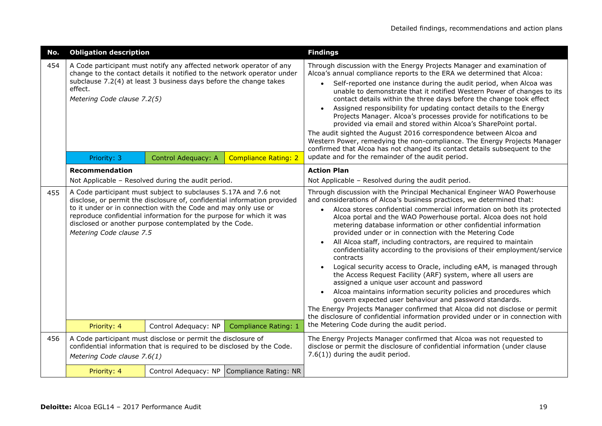| No. | <b>Obligation description</b>                                                                                                                                         |                                                                                                                                                                                                                                                                                                                                                |                                            | <b>Findings</b>                                                                                                                                                                                                                                                                                                                                                                                                                                                                                                                                                                                                                                                                                                                                                                                                                                                                                                                                                                                                                                                                                |  |
|-----|-----------------------------------------------------------------------------------------------------------------------------------------------------------------------|------------------------------------------------------------------------------------------------------------------------------------------------------------------------------------------------------------------------------------------------------------------------------------------------------------------------------------------------|--------------------------------------------|------------------------------------------------------------------------------------------------------------------------------------------------------------------------------------------------------------------------------------------------------------------------------------------------------------------------------------------------------------------------------------------------------------------------------------------------------------------------------------------------------------------------------------------------------------------------------------------------------------------------------------------------------------------------------------------------------------------------------------------------------------------------------------------------------------------------------------------------------------------------------------------------------------------------------------------------------------------------------------------------------------------------------------------------------------------------------------------------|--|
| 454 | effect.<br>Metering Code clause 7.2(5)                                                                                                                                | A Code participant must notify any affected network operator of any<br>change to the contact details it notified to the network operator under<br>subclause 7.2(4) at least 3 business days before the change takes                                                                                                                            |                                            | Through discussion with the Energy Projects Manager and examination of<br>Alcoa's annual compliance reports to the ERA we determined that Alcoa:<br>Self-reported one instance during the audit period, when Alcoa was<br>unable to demonstrate that it notified Western Power of changes to its<br>contact details within the three days before the change took effect<br>Assigned responsibility for updating contact details to the Energy<br>Projects Manager. Alcoa's processes provide for notifications to be<br>provided via email and stored within Alcoa's SharePoint portal.<br>The audit sighted the August 2016 correspondence between Alcoa and<br>Western Power, remedying the non-compliance. The Energy Projects Manager<br>confirmed that Alcoa has not changed its contact details subsequent to the                                                                                                                                                                                                                                                                        |  |
|     | Control Adequacy: A<br><b>Compliance Rating: 2</b><br>Priority: 3                                                                                                     |                                                                                                                                                                                                                                                                                                                                                |                                            | update and for the remainder of the audit period.                                                                                                                                                                                                                                                                                                                                                                                                                                                                                                                                                                                                                                                                                                                                                                                                                                                                                                                                                                                                                                              |  |
|     | Recommendation                                                                                                                                                        |                                                                                                                                                                                                                                                                                                                                                |                                            | <b>Action Plan</b>                                                                                                                                                                                                                                                                                                                                                                                                                                                                                                                                                                                                                                                                                                                                                                                                                                                                                                                                                                                                                                                                             |  |
|     | Not Applicable - Resolved during the audit period.                                                                                                                    |                                                                                                                                                                                                                                                                                                                                                |                                            | Not Applicable - Resolved during the audit period.                                                                                                                                                                                                                                                                                                                                                                                                                                                                                                                                                                                                                                                                                                                                                                                                                                                                                                                                                                                                                                             |  |
| 455 | Metering Code clause 7.5                                                                                                                                              | A Code participant must subject to subclauses 5.17A and 7.6 not<br>disclose, or permit the disclosure of, confidential information provided<br>to it under or in connection with the Code and may only use or<br>reproduce confidential information for the purpose for which it was<br>disclosed or another purpose contemplated by the Code. |                                            | Through discussion with the Principal Mechanical Engineer WAO Powerhouse<br>and considerations of Alcoa's business practices, we determined that:<br>Alcoa stores confidential commercial information on both its protected<br>$\bullet$<br>Alcoa portal and the WAO Powerhouse portal. Alcoa does not hold<br>metering database information or other confidential information<br>provided under or in connection with the Metering Code<br>All Alcoa staff, including contractors, are required to maintain<br>confidentiality according to the provisions of their employment/service<br>contracts<br>Logical security access to Oracle, including eAM, is managed through<br>the Access Request Facility (ARF) system, where all users are<br>assigned a unique user account and password<br>Alcoa maintains information security policies and procedures which<br>govern expected user behaviour and password standards.<br>The Energy Projects Manager confirmed that Alcoa did not disclose or permit<br>the disclosure of confidential information provided under or in connection with |  |
|     | Priority: 4                                                                                                                                                           | Control Adequacy: NP                                                                                                                                                                                                                                                                                                                           | <b>Compliance Rating: 1</b>                | the Metering Code during the audit period.                                                                                                                                                                                                                                                                                                                                                                                                                                                                                                                                                                                                                                                                                                                                                                                                                                                                                                                                                                                                                                                     |  |
| 456 | A Code participant must disclose or permit the disclosure of<br>confidential information that is required to be disclosed by the Code.<br>Metering Code clause 7.6(1) |                                                                                                                                                                                                                                                                                                                                                |                                            | The Energy Projects Manager confirmed that Alcoa was not requested to<br>disclose or permit the disclosure of confidential information (under clause<br>$7.6(1)$ ) during the audit period.                                                                                                                                                                                                                                                                                                                                                                                                                                                                                                                                                                                                                                                                                                                                                                                                                                                                                                    |  |
|     | Priority: 4                                                                                                                                                           |                                                                                                                                                                                                                                                                                                                                                | Control Adequacy: NP Compliance Rating: NR |                                                                                                                                                                                                                                                                                                                                                                                                                                                                                                                                                                                                                                                                                                                                                                                                                                                                                                                                                                                                                                                                                                |  |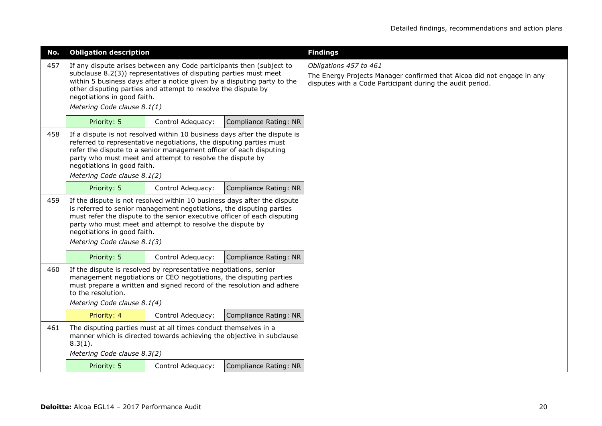| No. | <b>Obligation description</b>                                                                                                                                                                                                                                                                                                                           |                                                           |                       | <b>Findings</b>                                                                                                                                               |
|-----|---------------------------------------------------------------------------------------------------------------------------------------------------------------------------------------------------------------------------------------------------------------------------------------------------------------------------------------------------------|-----------------------------------------------------------|-----------------------|---------------------------------------------------------------------------------------------------------------------------------------------------------------|
| 457 | If any dispute arises between any Code participants then (subject to<br>subclause 8.2(3)) representatives of disputing parties must meet<br>within 5 business days after a notice given by a disputing party to the<br>other disputing parties and attempt to resolve the dispute by<br>negotiations in good faith.<br>Metering Code clause 8.1(1)      |                                                           |                       | Obligations 457 to 461<br>The Energy Projects Manager confirmed that Alcoa did not engage in any<br>disputes with a Code Participant during the audit period. |
|     | Priority: 5                                                                                                                                                                                                                                                                                                                                             | Control Adequacy:                                         | Compliance Rating: NR |                                                                                                                                                               |
| 458 | If a dispute is not resolved within 10 business days after the dispute is<br>referred to representative negotiations, the disputing parties must<br>refer the dispute to a senior management officer of each disputing<br>negotiations in good faith.<br>Metering Code clause 8.1(2)                                                                    | party who must meet and attempt to resolve the dispute by |                       |                                                                                                                                                               |
|     | <b>Compliance Rating: NR</b><br>Priority: 5<br>Control Adequacy:                                                                                                                                                                                                                                                                                        |                                                           |                       |                                                                                                                                                               |
| 459 | If the dispute is not resolved within 10 business days after the dispute<br>is referred to senior management negotiations, the disputing parties<br>must refer the dispute to the senior executive officer of each disputing<br>party who must meet and attempt to resolve the dispute by<br>negotiations in good faith.<br>Metering Code clause 8.1(3) |                                                           |                       |                                                                                                                                                               |
|     | Priority: 5                                                                                                                                                                                                                                                                                                                                             | Control Adequacy:                                         | Compliance Rating: NR |                                                                                                                                                               |
| 460 | If the dispute is resolved by representative negotiations, senior<br>management negotiations or CEO negotiations, the disputing parties<br>must prepare a written and signed record of the resolution and adhere<br>to the resolution.<br>Metering Code clause 8.1(4)                                                                                   |                                                           |                       |                                                                                                                                                               |
|     | Priority: 4                                                                                                                                                                                                                                                                                                                                             | Control Adequacy:                                         | Compliance Rating: NR |                                                                                                                                                               |
| 461 | The disputing parties must at all times conduct themselves in a<br>manner which is directed towards achieving the objective in subclause<br>$8.3(1)$ .<br>Metering Code clause 8.3(2)                                                                                                                                                                   |                                                           |                       |                                                                                                                                                               |
|     | Priority: 5                                                                                                                                                                                                                                                                                                                                             | Control Adequacy:                                         | Compliance Rating: NR |                                                                                                                                                               |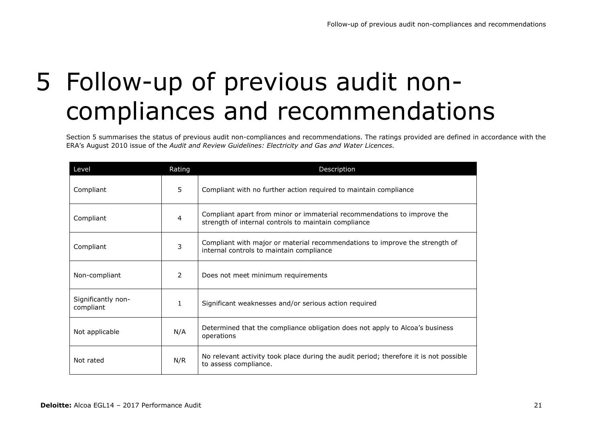# 5 Follow-up of previous audit noncompliances and recommendations

Section 5 summarises the status of previous audit non-compliances and recommendations. The ratings provided are defined in accordance with the ERA's August 2010 issue of the *Audit and Review Guidelines: Electricity and Gas and Water Licences.*

| Level                           | Rating | Description                                                                                                                     |
|---------------------------------|--------|---------------------------------------------------------------------------------------------------------------------------------|
| Compliant                       | 5      | Compliant with no further action required to maintain compliance                                                                |
| Compliant                       | 4      | Compliant apart from minor or immaterial recommendations to improve the<br>strength of internal controls to maintain compliance |
| Compliant                       | 3      | Compliant with major or material recommendations to improve the strength of<br>internal controls to maintain compliance         |
| Non-compliant                   | 2      | Does not meet minimum requirements                                                                                              |
| Significantly non-<br>compliant | 1      | Significant weaknesses and/or serious action required                                                                           |
| Not applicable                  | N/A    | Determined that the compliance obligation does not apply to Alcoa's business<br>operations                                      |
| Not rated                       | N/R    | No relevant activity took place during the audit period; therefore it is not possible<br>to assess compliance.                  |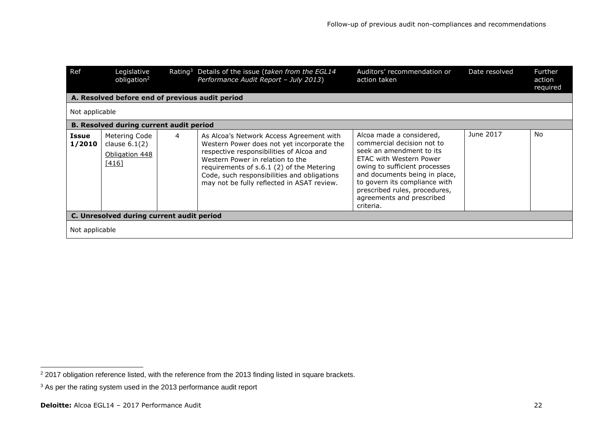| Ref             | Legislative<br>obligation <sup>2</sup>                        |   | Rating <sup>3</sup> Details of the issue (taken from the EGL14<br>Performance Audit Report - July 2013)                                                                                                                                                                                                          | Auditors' recommendation or<br>action taken                                                                                                                                                                                                                                                 | Date resolved | Further<br>action<br>required |
|-----------------|---------------------------------------------------------------|---|------------------------------------------------------------------------------------------------------------------------------------------------------------------------------------------------------------------------------------------------------------------------------------------------------------------|---------------------------------------------------------------------------------------------------------------------------------------------------------------------------------------------------------------------------------------------------------------------------------------------|---------------|-------------------------------|
|                 | A. Resolved before end of previous audit period               |   |                                                                                                                                                                                                                                                                                                                  |                                                                                                                                                                                                                                                                                             |               |                               |
| Not applicable  |                                                               |   |                                                                                                                                                                                                                                                                                                                  |                                                                                                                                                                                                                                                                                             |               |                               |
|                 | <b>B. Resolved during current audit period</b>                |   |                                                                                                                                                                                                                                                                                                                  |                                                                                                                                                                                                                                                                                             |               |                               |
| Issue<br>1/2010 | Metering Code<br>clause $6.1(2)$<br>Obligation 448<br>$[416]$ | 4 | As Alcoa's Network Access Agreement with<br>Western Power does not yet incorporate the<br>respective responsibilities of Alcoa and<br>Western Power in relation to the<br>requirements of s.6.1 (2) of the Metering<br>Code, such responsibilities and obligations<br>may not be fully reflected in ASAT review. | Alcoa made a considered,<br>commercial decision not to<br>seek an amendment to its<br>ETAC with Western Power<br>owing to sufficient processes<br>and documents being in place,<br>to govern its compliance with<br>prescribed rules, procedures,<br>agreements and prescribed<br>criteria. | June 2017     | <b>No</b>                     |
|                 | C. Unresolved during current audit period                     |   |                                                                                                                                                                                                                                                                                                                  |                                                                                                                                                                                                                                                                                             |               |                               |
| Not applicable  |                                                               |   |                                                                                                                                                                                                                                                                                                                  |                                                                                                                                                                                                                                                                                             |               |                               |

-

 $2$  2017 obligation reference listed, with the reference from the 2013 finding listed in square brackets.

<sup>&</sup>lt;sup>3</sup> As per the rating system used in the 2013 performance audit report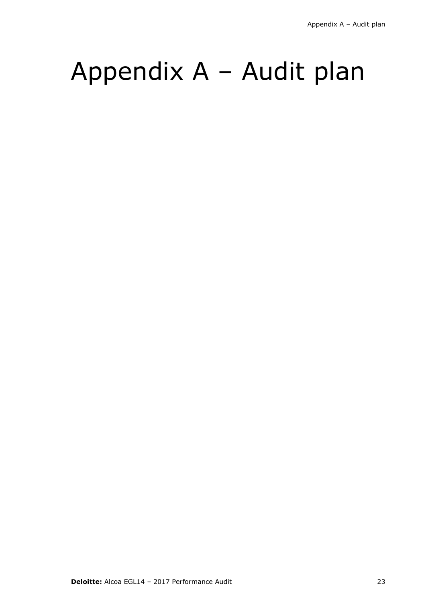## Appendix A – Audit plan